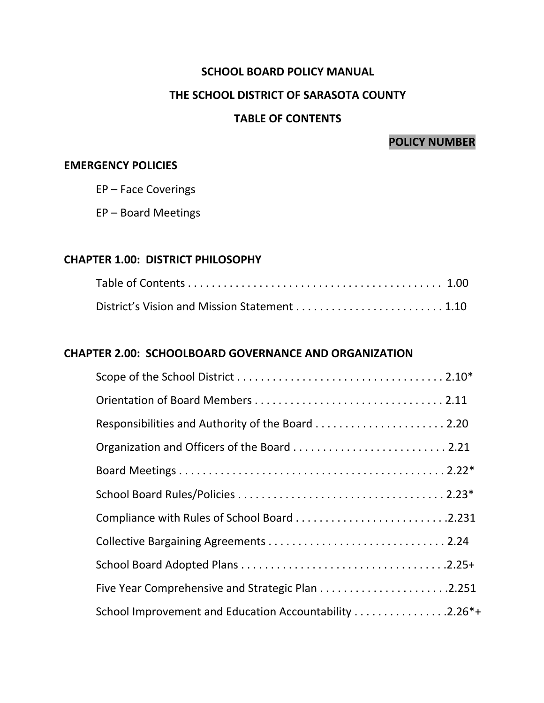#### **SCHOOL BOARD POLICY MANUAL**

#### **THE SCHOOL DISTRICT OF SARASOTA COUNTY**

### **TABLE OF CONTENTS**

### **POLICY NUMBER**

#### **EMERGENCY POLICIES**

EP – Face Coverings

EP – Board Meetings

#### **CHAPTER 1.00: DISTRICT PHILOSOPHY**

#### **CHAPTER 2.00: SCHOOLBOARD GOVERNANCE AND ORGANIZATION**

| School Improvement and Education Accountability 2.26*+ |  |
|--------------------------------------------------------|--|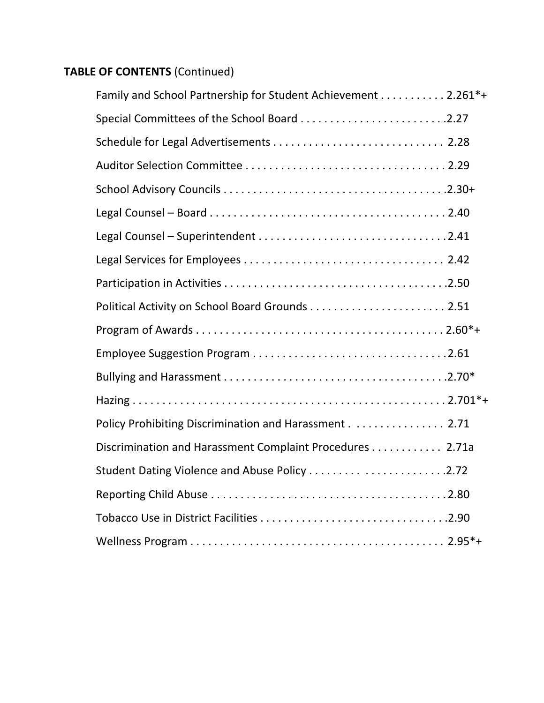| Family and School Partnership for Student Achievement 2.261*+ |  |
|---------------------------------------------------------------|--|
|                                                               |  |
|                                                               |  |
|                                                               |  |
|                                                               |  |
|                                                               |  |
|                                                               |  |
|                                                               |  |
|                                                               |  |
|                                                               |  |
|                                                               |  |
|                                                               |  |
|                                                               |  |
|                                                               |  |
| Policy Prohibiting Discrimination and Harassment 2.71         |  |
| Discrimination and Harassment Complaint Procedures 2.71a      |  |
| Student Dating Violence and Abuse Policy 2.72                 |  |
|                                                               |  |
|                                                               |  |
|                                                               |  |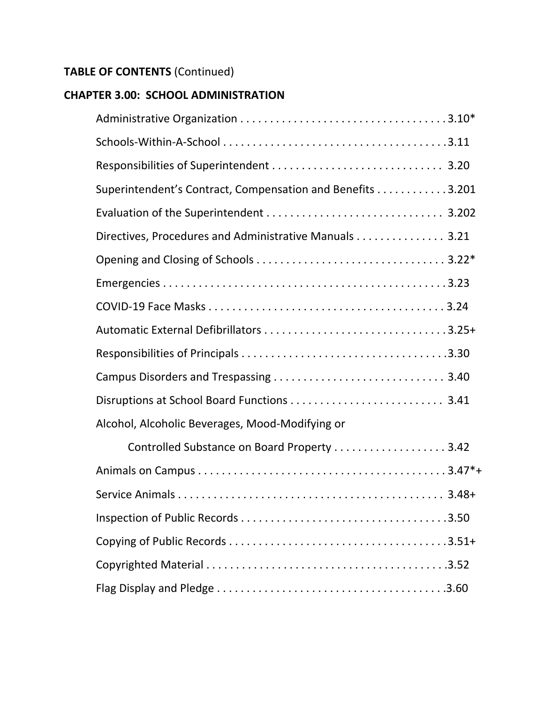### **CHAPTER 3.00: SCHOOL ADMINISTRATION**

| Superintendent's Contract, Compensation and Benefits 3.201 |  |
|------------------------------------------------------------|--|
|                                                            |  |
| Directives, Procedures and Administrative Manuals 3.21     |  |
|                                                            |  |
|                                                            |  |
|                                                            |  |
|                                                            |  |
|                                                            |  |
|                                                            |  |
|                                                            |  |
| Alcohol, Alcoholic Beverages, Mood-Modifying or            |  |
| Controlled Substance on Board Property 3.42                |  |
|                                                            |  |
|                                                            |  |
|                                                            |  |
|                                                            |  |
|                                                            |  |
|                                                            |  |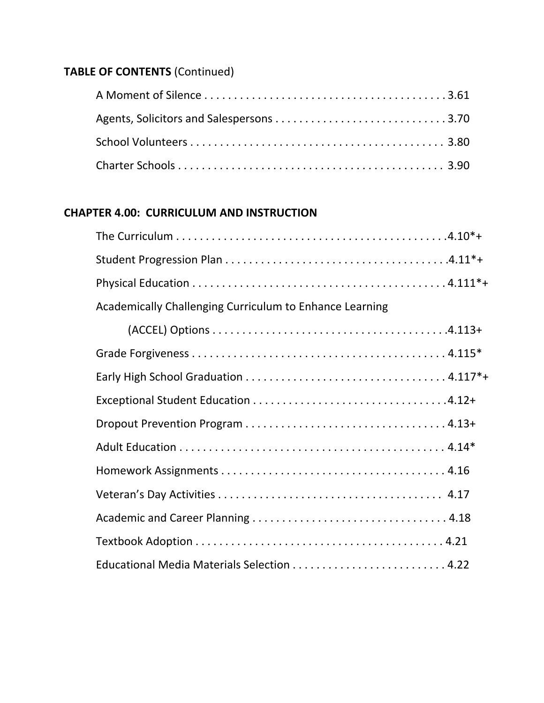### **CHAPTER 4.00: CURRICULUM AND INSTRUCTION**

| Academically Challenging Curriculum to Enhance Learning |
|---------------------------------------------------------|
|                                                         |
|                                                         |
|                                                         |
|                                                         |
|                                                         |
|                                                         |
|                                                         |
|                                                         |
|                                                         |
|                                                         |
|                                                         |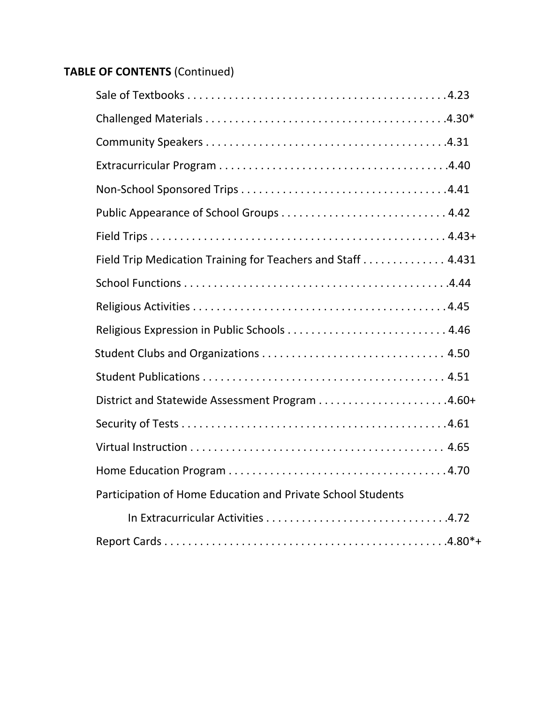| Field Trip Medication Training for Teachers and Staff 4.431 |  |
|-------------------------------------------------------------|--|
|                                                             |  |
|                                                             |  |
|                                                             |  |
|                                                             |  |
|                                                             |  |
|                                                             |  |
|                                                             |  |
|                                                             |  |
|                                                             |  |
| Participation of Home Education and Private School Students |  |
|                                                             |  |
|                                                             |  |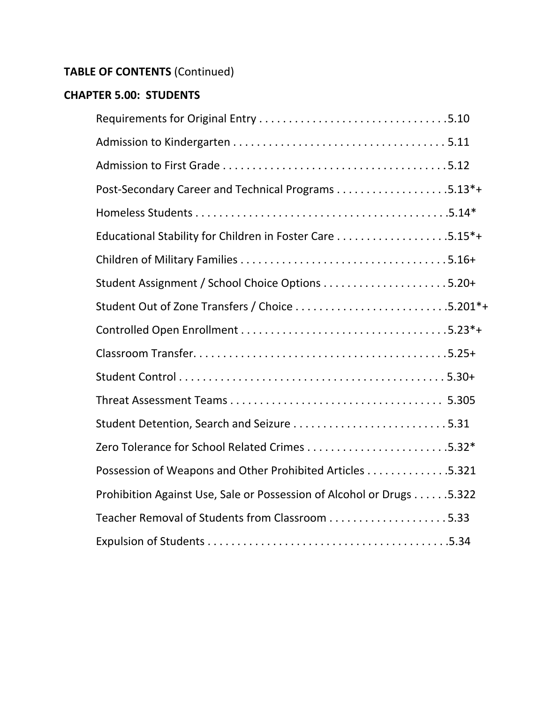### **CHAPTER 5.00: STUDENTS**

| Possession of Weapons and Other Prohibited Articles 5.321             |  |
|-----------------------------------------------------------------------|--|
| Prohibition Against Use, Sale or Possession of Alcohol or Drugs 5.322 |  |
|                                                                       |  |
|                                                                       |  |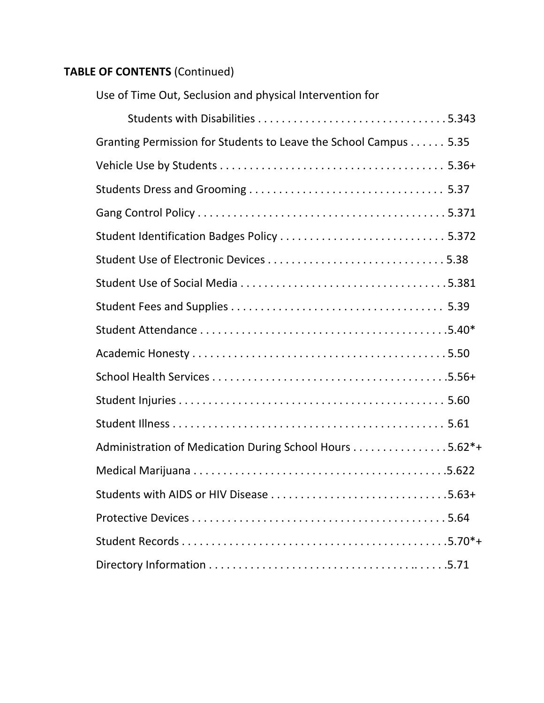| Use of Time Out, Seclusion and physical Intervention for         |  |
|------------------------------------------------------------------|--|
|                                                                  |  |
| Granting Permission for Students to Leave the School Campus 5.35 |  |
|                                                                  |  |
|                                                                  |  |
|                                                                  |  |
|                                                                  |  |
|                                                                  |  |
|                                                                  |  |
|                                                                  |  |
|                                                                  |  |
|                                                                  |  |
|                                                                  |  |
|                                                                  |  |
|                                                                  |  |
| Administration of Medication During School Hours 5.62*+          |  |
|                                                                  |  |
|                                                                  |  |
|                                                                  |  |
|                                                                  |  |
|                                                                  |  |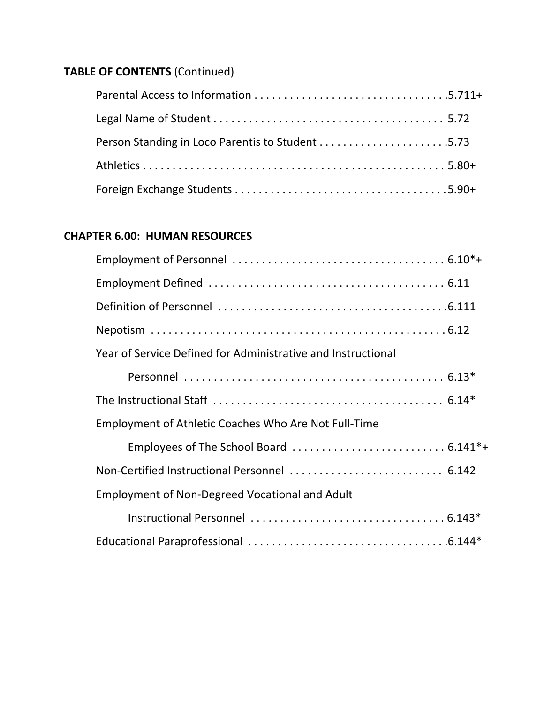| Person Standing in Loco Parentis to Student 5.73 |  |
|--------------------------------------------------|--|
|                                                  |  |
|                                                  |  |

### **CHAPTER 6.00: HUMAN RESOURCES**

| Year of Service Defined for Administrative and Instructional |  |
|--------------------------------------------------------------|--|
|                                                              |  |
|                                                              |  |
| Employment of Athletic Coaches Who Are Not Full-Time         |  |
|                                                              |  |
| Non-Certified Instructional Personnel  6.142                 |  |
| <b>Employment of Non-Degreed Vocational and Adult</b>        |  |
|                                                              |  |
|                                                              |  |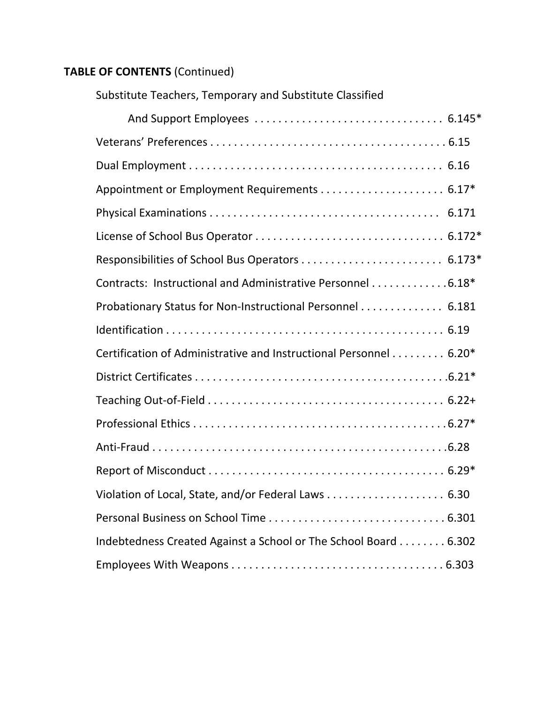| Substitute Teachers, Temporary and Substitute Classified          |  |
|-------------------------------------------------------------------|--|
|                                                                   |  |
|                                                                   |  |
|                                                                   |  |
|                                                                   |  |
|                                                                   |  |
|                                                                   |  |
|                                                                   |  |
| Contracts: Instructional and Administrative Personnel 6.18*       |  |
| Probationary Status for Non-Instructional Personnel 6.181         |  |
|                                                                   |  |
| Certification of Administrative and Instructional Personnel 6.20* |  |
|                                                                   |  |
|                                                                   |  |
|                                                                   |  |
|                                                                   |  |
|                                                                   |  |
| Violation of Local, State, and/or Federal Laws 6.30               |  |
|                                                                   |  |
| Indebtedness Created Against a School or The School Board 6.302   |  |
|                                                                   |  |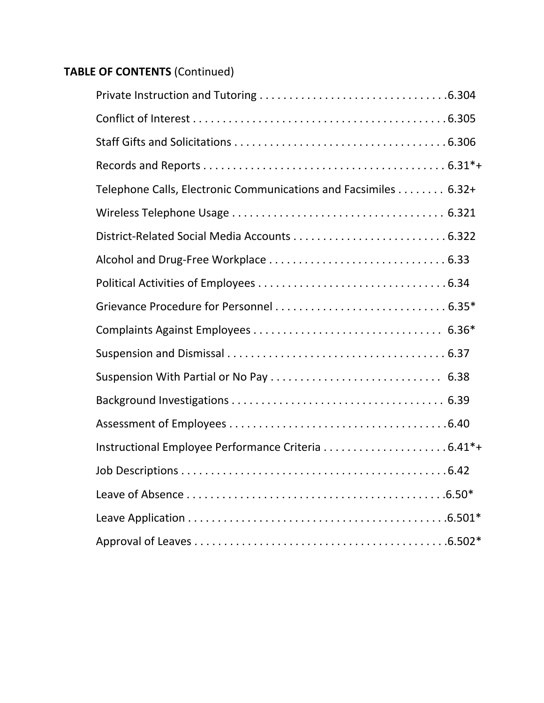| Telephone Calls, Electronic Communications and Facsimiles 6.32+ |
|-----------------------------------------------------------------|
|                                                                 |
|                                                                 |
|                                                                 |
|                                                                 |
|                                                                 |
|                                                                 |
|                                                                 |
| Suspension With Partial or No Pay  6.38                         |
|                                                                 |
|                                                                 |
|                                                                 |
|                                                                 |
|                                                                 |
|                                                                 |
|                                                                 |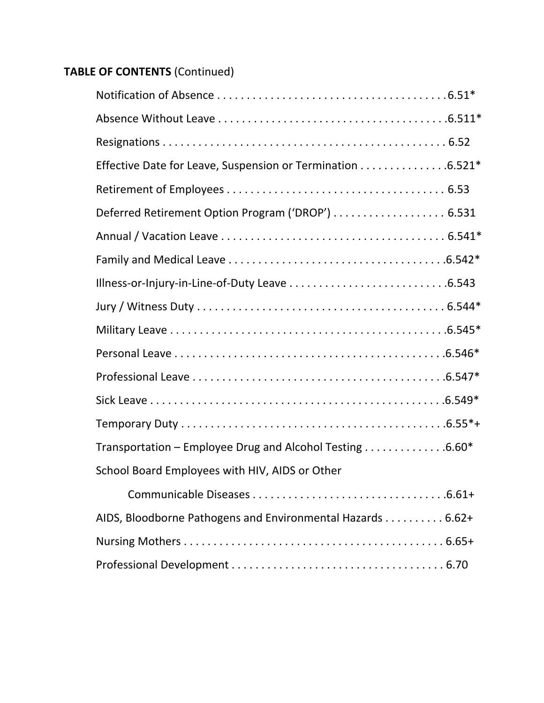| Effective Date for Leave, Suspension or Termination 6.521* |  |
|------------------------------------------------------------|--|
|                                                            |  |
| Deferred Retirement Option Program ('DROP')  6.531         |  |
|                                                            |  |
|                                                            |  |
|                                                            |  |
|                                                            |  |
|                                                            |  |
|                                                            |  |
|                                                            |  |
|                                                            |  |
|                                                            |  |
| Transportation - Employee Drug and Alcohol Testing 6.60*   |  |
| School Board Employees with HIV, AIDS or Other             |  |
|                                                            |  |
| AIDS, Bloodborne Pathogens and Environmental Hazards 6.62+ |  |
|                                                            |  |
|                                                            |  |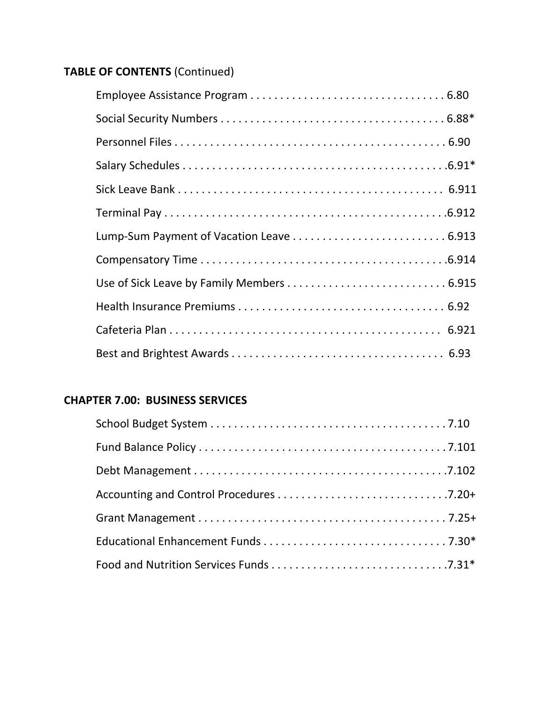### **CHAPTER 7.00: BUSINESS SERVICES**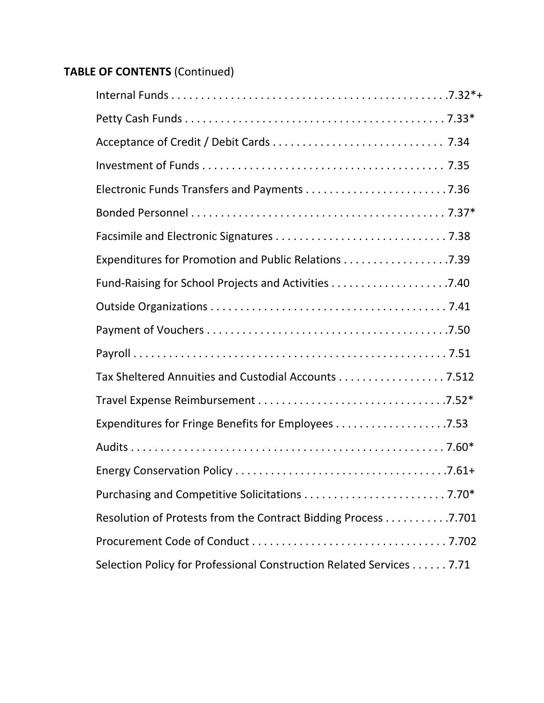| Expenditures for Promotion and Public Relations 7.39                 |
|----------------------------------------------------------------------|
|                                                                      |
|                                                                      |
|                                                                      |
|                                                                      |
| Tax Sheltered Annuities and Custodial Accounts 7.512                 |
|                                                                      |
|                                                                      |
|                                                                      |
|                                                                      |
|                                                                      |
| Resolution of Protests from the Contract Bidding Process 7.701       |
|                                                                      |
| Selection Policy for Professional Construction Related Services 7.71 |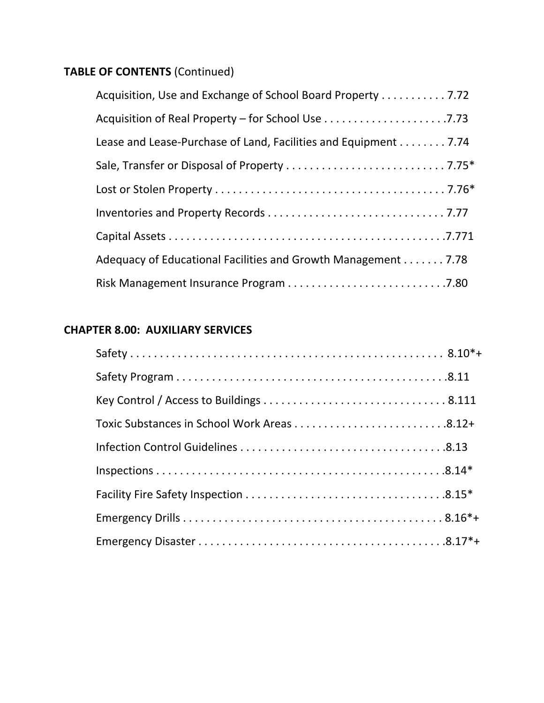| Acquisition, Use and Exchange of School Board Property 7.72     |
|-----------------------------------------------------------------|
|                                                                 |
| Lease and Lease-Purchase of Land, Facilities and Equipment 7.74 |
|                                                                 |
|                                                                 |
|                                                                 |
|                                                                 |
| Adequacy of Educational Facilities and Growth Management 7.78   |
|                                                                 |

### **CHAPTER 8.00: AUXILIARY SERVICES**

| Toxic Substances in School Work Areas 8.12+ |  |
|---------------------------------------------|--|
|                                             |  |
|                                             |  |
|                                             |  |
|                                             |  |
|                                             |  |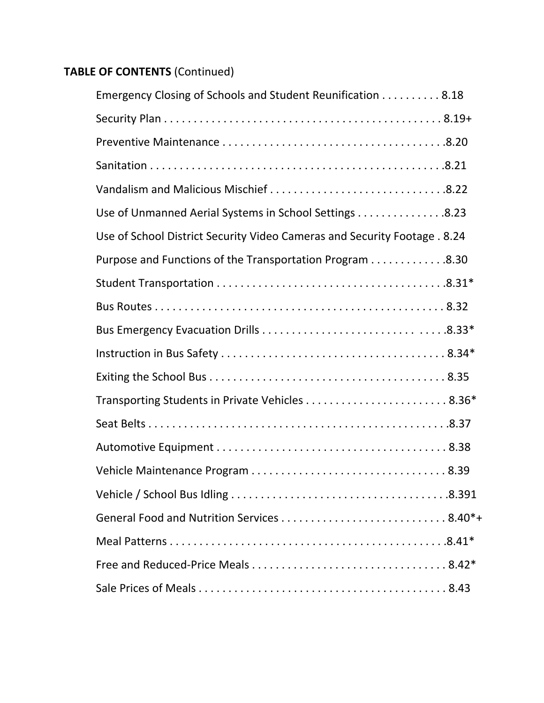| Emergency Closing of Schools and Student Reunification 8.18               |
|---------------------------------------------------------------------------|
|                                                                           |
|                                                                           |
|                                                                           |
|                                                                           |
| Use of Unmanned Aerial Systems in School Settings 8.23                    |
| Use of School District Security Video Cameras and Security Footage . 8.24 |
| Purpose and Functions of the Transportation Program 8.30                  |
|                                                                           |
|                                                                           |
|                                                                           |
|                                                                           |
|                                                                           |
|                                                                           |
|                                                                           |
|                                                                           |
|                                                                           |
|                                                                           |
|                                                                           |
|                                                                           |
|                                                                           |
|                                                                           |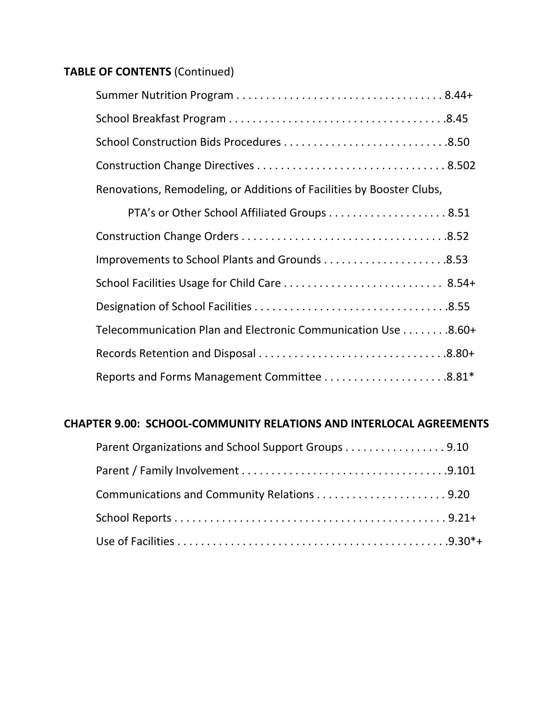| Renovations, Remodeling, or Additions of Facilities by Booster Clubs, |  |
|-----------------------------------------------------------------------|--|
|                                                                       |  |
|                                                                       |  |
|                                                                       |  |
|                                                                       |  |
|                                                                       |  |

| Telecommunication Plan and Electronic Communication Use 8.60+ |  |
|---------------------------------------------------------------|--|
|                                                               |  |
|                                                               |  |

### **CHAPTER 9.00: SCHOOL‐COMMUNITY RELATIONS AND INTERLOCAL AGREEMENTS**

| Parent Organizations and School Support Groups 9.10 |  |
|-----------------------------------------------------|--|
|                                                     |  |
|                                                     |  |
|                                                     |  |
|                                                     |  |